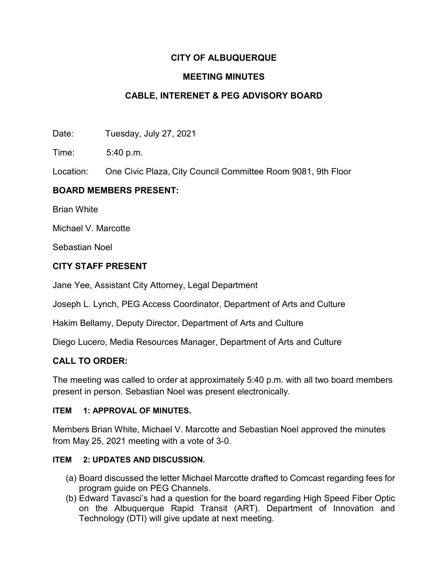# **CITY OF ALBUQUERQUE**

## **MEETING MINUTES**

# **CABLE, INTERENET & PEG ADVISORY BOARD**

Date: Tuesday, July 27, 2021

Time: 5:40 p.m.

Location: One Civic Plaza, City Council Committee Room 9081, 9th Floor

## **BOARD MEMBERS PRESENT:**

Brian White

Michael V. Marcotte

Sebastian Noel

## **CITY STAFF PRESENT**

Jane Yee, Assistant City Attorney, Legal Department

Joseph L. Lynch, PEG Access Coordinator, Department of Arts and Culture

Hakim Bellamy, Deputy Director, Department of Arts and Culture

Diego Lucero, Media Resources Manager, Department of Arts and Culture

### **CALL TO ORDER:**

The meeting was called to order at approximately 5:40 p.m. with all two board members present in person. Sebastian Noel was present electronically.

### **ITEM 1: APPROVAL OF MINUTES.**

Members Brian White, Michael V. Marcotte and Sebastian Noel approved the minutes from May 25, 2021 meeting with a vote of 3-0.

### **ITEM 2: UPDATES AND DISCUSSION.**

- (a) Board discussed the letter Michael Marcotte drafted to Comcast regarding fees for program guide on PEG Channels.
- (b) Edward Tavasci's had a question for the board regarding High Speed Fiber Optic on the Albuquerque Rapid Transit (ART). Department of Innovation and Technology (DTI) will give update at next meeting.